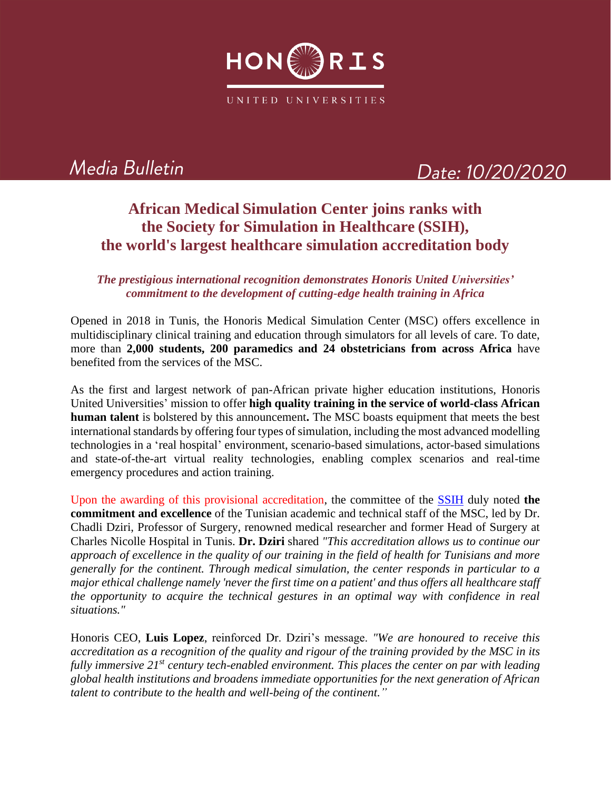

# Media Bulletin

## Date: 10/20/2020

### **African Medical Simulation Center joins ranks with the Society for Simulation in Healthcare (SSIH), the world's largest healthcare simulation accreditation body**

#### *The prestigious international recognition demonstrates Honoris United Universities' commitment to the development of cutting-edge health training in Africa*

Opened in 2018 in Tunis, the Honoris Medical Simulation Center (MSC) offers excellence in multidisciplinary clinical training and education through simulators for all levels of care. To date, more than **2,000 students, 200 paramedics and 24 obstetricians from across Africa** have benefited from the services of the MSC.

As the first and largest network of pan-African private higher education institutions, Honoris United Universities' mission to offer **high quality training in the service of world-class African human talent** is bolstered by this announcement**.** The MSC boasts equipment that meets the best international standards by offering four types of simulation, including the most advanced modelling technologies in a 'real hospital' environment, scenario-based simulations, actor-based simulations and state-of-the-art virtual reality technologies, enabling complex scenarios and real-time emergency procedures and action training.

Upon the awarding of this provisional accreditation, the committee of the [SSIH](https://www.ssih.org/) duly noted **the commitment and excellence** of the Tunisian academic and technical staff of the MSC, led by Dr. Chadli Dziri, Professor of Surgery, renowned medical researcher and former Head of Surgery at Charles Nicolle Hospital in Tunis. **Dr. Dziri** shared *"This accreditation allows us to continue our approach of excellence in the quality of our training in the field of health for Tunisians and more generally for the continent. Through medical simulation, the center responds in particular to a major ethical challenge namely 'never the first time on a patient' and thus offers all healthcare staff the opportunity to acquire the technical gestures in an optimal way with confidence in real situations."*

Honoris CEO, **Luis Lopez**, reinforced Dr. Dziri's message. *"We are honoured to receive this accreditation as a recognition of the quality and rigour of the training provided by the MSC in its fully immersive 21st century tech-enabled environment. This places the center on par with leading global health institutions and broadens immediate opportunities for the next generation of African talent to contribute to the health and well-being of the continent."*